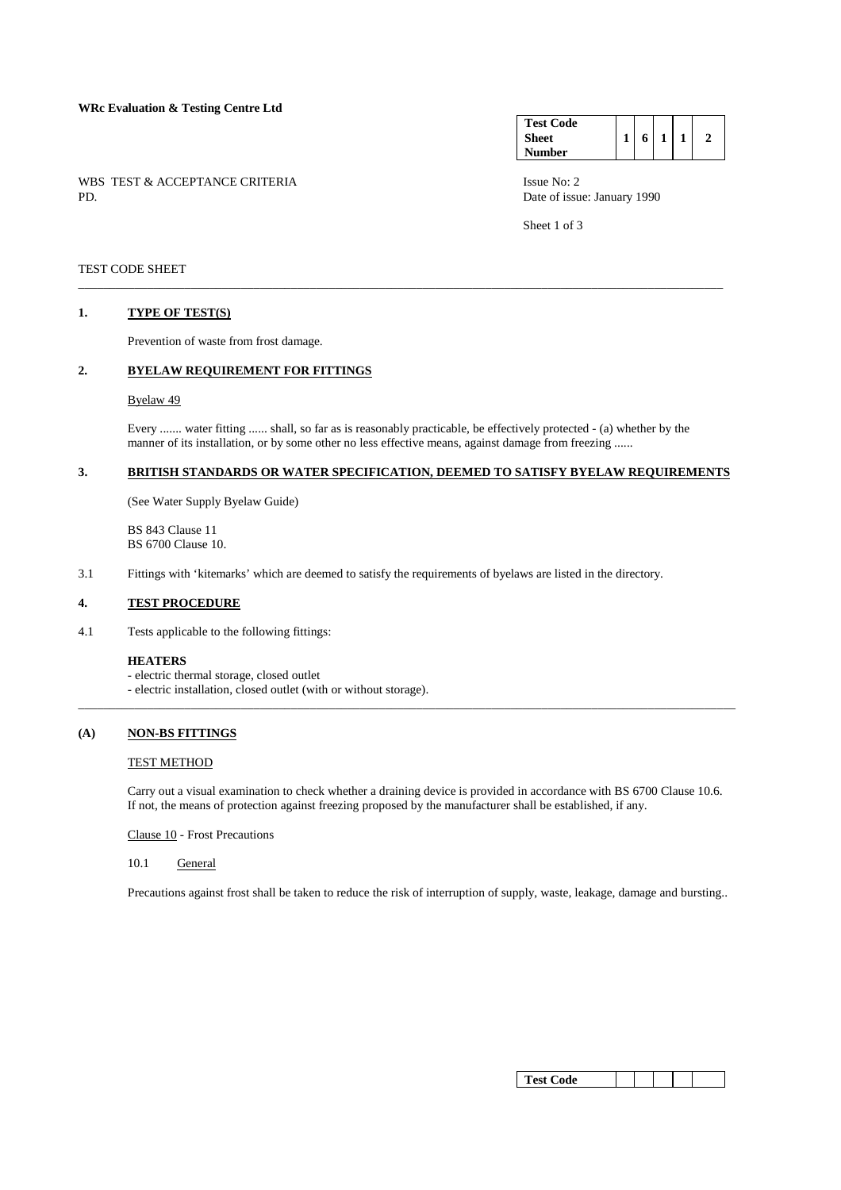# **WRc Evaluation & Testing Centre Ltd**

WBS TEST & ACCEPTANCE CRITERIA ISSUE No: 2<br>PD Date of issue

#### **Test Code Sheet Number**   $1 \mid 6 \mid 1 \mid 1 \mid 2$

Date of issue: January 1990

Sheet 1 of 3

### TEST CODE SHEET

#### **1. TYPE OF TEST(S)**

Prevention of waste from frost damage.

# **2. BYELAW REQUIREMENT FOR FITTINGS**

Byelaw 49

 Every ....... water fitting ...... shall, so far as is reasonably practicable, be effectively protected - (a) whether by the manner of its installation, or by some other no less effective means, against damage from freezing ......

\_\_\_\_\_\_\_\_\_\_\_\_\_\_\_\_\_\_\_\_\_\_\_\_\_\_\_\_\_\_\_\_\_\_\_\_\_\_\_\_\_\_\_\_\_\_\_\_\_\_\_\_\_\_\_\_\_\_\_\_\_\_\_\_\_\_\_\_\_\_\_\_\_\_\_\_\_\_\_\_\_\_\_\_\_\_\_\_\_\_\_\_\_\_\_\_\_\_\_\_\_\_\_

# **3. BRITISH STANDARDS OR WATER SPECIFICATION, DEEMED TO SATISFY BYELAW REQUIREMENTS**

(See Water Supply Byelaw Guide)

 BS 843 Clause 11 BS 6700 Clause 10.

3.1 Fittings with 'kitemarks' which are deemed to satisfy the requirements of byelaws are listed in the directory.

### **4. TEST PROCEDURE**

4.1 Tests applicable to the following fittings:

#### **HEATERS**

- electric thermal storage, closed outlet
- electric installation, closed outlet (with or without storage).

# **(A) NON-BS FITTINGS**

### TEST METHOD

 Carry out a visual examination to check whether a draining device is provided in accordance with BS 6700 Clause 10.6. If not, the means of protection against freezing proposed by the manufacturer shall be established, if any.

\_\_\_\_\_\_\_\_\_\_\_\_\_\_\_\_\_\_\_\_\_\_\_\_\_\_\_\_\_\_\_\_\_\_\_\_\_\_\_\_\_\_\_\_\_\_\_\_\_\_\_\_\_\_\_\_\_\_\_\_\_\_\_\_\_\_\_\_\_\_\_\_\_\_\_\_\_\_\_\_\_\_\_\_\_\_\_\_\_\_\_\_\_\_\_\_\_\_\_\_\_\_\_\_\_

Clause 10 - Frost Precautions

10.1 General

Precautions against frost shall be taken to reduce the risk of interruption of supply, waste, leakage, damage and bursting..

| est<br>C`ode |  |  |  |  |  |
|--------------|--|--|--|--|--|
|--------------|--|--|--|--|--|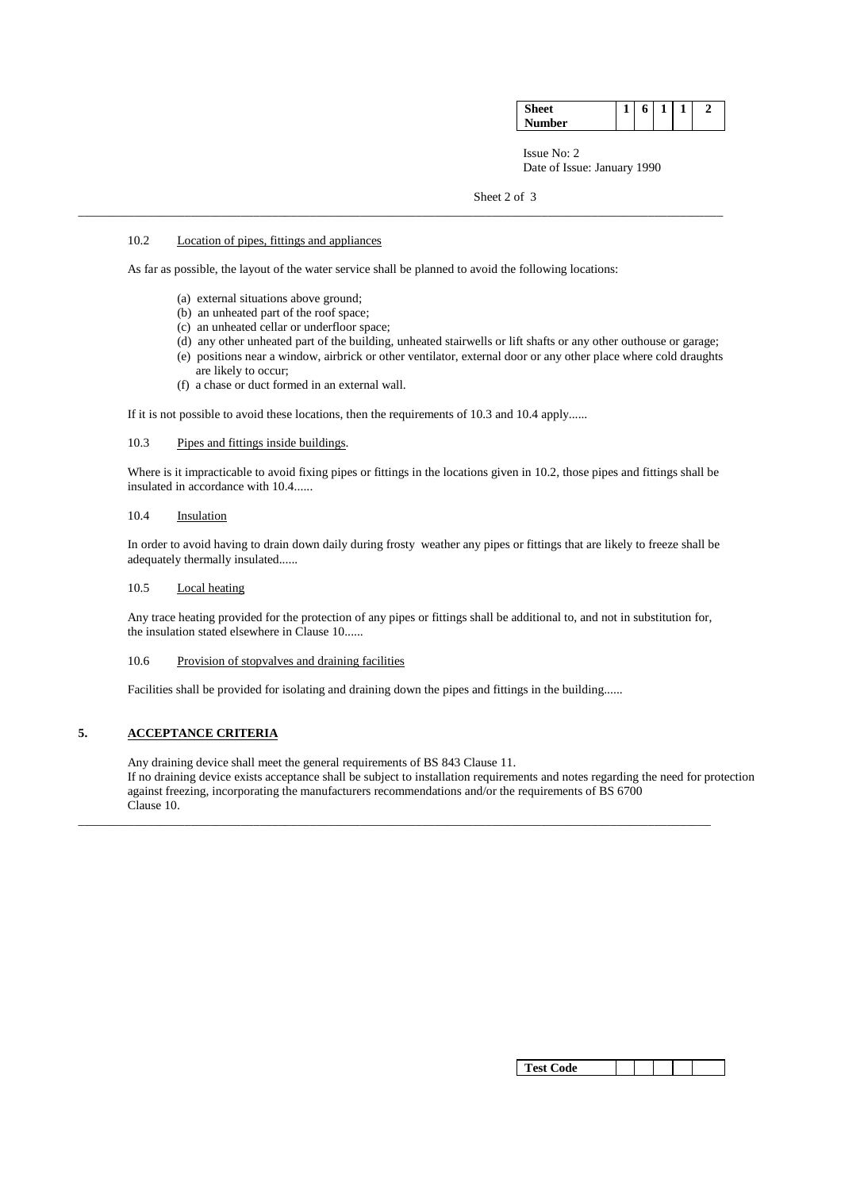| ıher | m<br> | – | o | ۰<br>_ | _ | _ |
|------|-------|---|---|--------|---|---|
|      |       |   |   |        |   |   |

 Issue No: 2 Date of Issue: January 1990

Sheet 2 of 3

# 10.2 Location of pipes, fittings and appliances

As far as possible, the layout of the water service shall be planned to avoid the following locations:

\_\_\_\_\_\_\_\_\_\_\_\_\_\_\_\_\_\_\_\_\_\_\_\_\_\_\_\_\_\_\_\_\_\_\_\_\_\_\_\_\_\_\_\_\_\_\_\_\_\_\_\_\_\_\_\_\_\_\_\_\_\_\_\_\_\_\_\_\_\_\_\_\_\_\_\_\_\_\_\_\_\_\_\_\_\_\_\_\_\_\_\_\_\_\_\_\_\_\_\_\_\_\_

- (a) external situations above ground;
- (b) an unheated part of the roof space;
- (c) an unheated cellar or underfloor space;
- (d) any other unheated part of the building, unheated stairwells or lift shafts or any other outhouse or garage;
- (e) positions near a window, airbrick or other ventilator, external door or any other place where cold draughts are likely to occur;
- (f) a chase or duct formed in an external wall.

If it is not possible to avoid these locations, then the requirements of 10.3 and 10.4 apply......

# 10.3 Pipes and fittings inside buildings.

Where is it impracticable to avoid fixing pipes or fittings in the locations given in 10.2, those pipes and fittings shall be insulated in accordance with 10.4......

### 10.4 Insulation

 In order to avoid having to drain down daily during frosty weather any pipes or fittings that are likely to freeze shall be adequately thermally insulated......

# 10.5 Local heating

 Any trace heating provided for the protection of any pipes or fittings shall be additional to, and not in substitution for, the insulation stated elsewhere in Clause 10......

### 10.6 Provision of stopvalves and draining facilities

Facilities shall be provided for isolating and draining down the pipes and fittings in the building......

\_\_\_\_\_\_\_\_\_\_\_\_\_\_\_\_\_\_\_\_\_\_\_\_\_\_\_\_\_\_\_\_\_\_\_\_\_\_\_\_\_\_\_\_\_\_\_\_\_\_\_\_\_\_\_\_\_\_\_\_\_\_\_\_\_\_\_\_\_\_\_\_\_\_\_\_\_\_\_\_\_\_\_\_\_\_\_\_\_\_\_\_\_\_\_\_\_\_\_\_\_

# **5. ACCEPTANCE CRITERIA**

 Any draining device shall meet the general requirements of BS 843 Clause 11. If no draining device exists acceptance shall be subject to installation requirements and notes regarding the need for protection against freezing, incorporating the manufacturers recommendations and/or the requirements of BS 6700 Clause 10.

| <b>Test Code</b> |  |  |  |  |  |  |
|------------------|--|--|--|--|--|--|
|------------------|--|--|--|--|--|--|